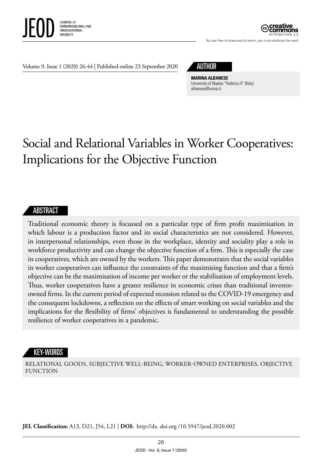

ATTRIBUTION 3.0

You are free to share and to remix, you must attribute the work

Volume 9, Issue 1 (2020) 26-44 | Published online 23 September 2020

## AUTHOR

**MARINA ALBANESE** University of Naples "Federico II" (Italy) [albanese@unina.it](mailto:albanese@unina.it)

# Social and Relational Variables in Worker Cooperatives: Implications for the Objective Function

#### ABSTRACT

Traditional economic theory is focussed on a particular type of firm profit maximisation in which labour is a production factor and its social characteristics are not considered. However, in interpersonal relationships, even those in the workplace, identity and sociality play a role in workforce productivity and can change the objective function of a firm. This is especially the case in cooperatives, which are owned by the workers. This paper demonstrates that the social variables in worker cooperatives can influence the constraints of the maximising function and that a firm's objective can be the maximisation of income per worker or the stabilisation of employment levels. Thus, worker cooperatives have a greater resilience in economic crises than traditional investorowned firms. In the current period of expected recession related to the COVID-19 emergency and the consequent lockdowns, a reflection on the effects of smart working on social variables and the implications for the flexibility of firms' objectives is fundamental to understanding the possible resilience of worker cooperatives in a pandemic.

#### KEY-WORDS

RELATIONAL GOODS, SUBJECTIVE WELL-BEING, WORKER-OWNED ENTERPRISES, OBJECTIVE FUNCTION

**JEL Classification:** A13, D21, J54, L21 | **DOI:** http:/ /dx. doi.org /10.5947/jeod.2020.002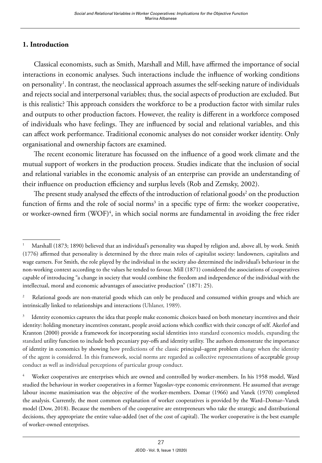#### **1. Introduction**

Classical economists, such as Smith, Marshall and Mill, have affirmed the importance of social interactions in economic analyses. Such interactions include the influence of working conditions on personality<sup>1</sup>. In contrast, the neoclassical approach assumes the self-seeking nature of individuals and rejects social and interpersonal variables; thus, the social aspects of production are excluded. But is this realistic? This approach considers the workforce to be a production factor with similar rules and outputs to other production factors. However, the reality is different in a workforce composed of individuals who have feelings. They are influenced by social and relational variables, and this can affect work performance. Traditional economic analyses do not consider worker identity. Only organisational and ownership factors are examined.

The recent economic literature has focussed on the influence of a good work climate and the mutual support of workers in the production process. Studies indicate that the inclusion of social and relational variables in the economic analysis of an enterprise can provide an understanding of their influence on production efficiency and surplus levels (Rob and Zemsky, 2002).

The present study analysed the effects of the introduction of relational goods<sup>2</sup> on the production function of firms and the role of social norms<sup>3</sup> in a specific type of firm: the worker cooperative, or worker-owned firm (WOF)<sup>4</sup>, in which social norms are fundamental in avoiding the free rider

<sup>1</sup> Marshall (1873; 1890) believed that an individual's personality was shaped by religion and, above all, by work. Smith (1776) affirmed that personality is determined by the three main roles of capitalist society: landowners, capitalists and wage earners. For Smith, the role played by the individual in the society also determined the individual's behaviour in the non-working context according to the values he tended to favour. Mill (1871) considered the associations of cooperatives capable of introducing "a change in society that would combine the freedom and independence of the individual with the intellectual, moral and economic advantages of associative production" (1871: 25).

Relational goods are non-material goods which can only be produced and consumed within groups and which are intrinsically linked to relationships and interactions (Uhlaner, 1989).

<sup>&</sup>lt;sup>3</sup> Identity economics captures the idea that people make economic choices based on both monetary incentives and their identity: holding monetary incentives constant, people avoid actions which conflict with their concept of self. Akerlof and Kranton (2000) provide a framework for incorporating [social identities](https://en.wikipedia.org/wiki/Social_identity) into standard economics models, expanding the standard [utility function](https://en.wikipedia.org/wiki/Utility_function) to include both pecuniary pay-offs and identity utility. The authors demonstrate the importance of identity in economics by showing how predictions of the classic [principal–agent problem](https://en.wikipedia.org/wiki/Principal%E2%80%93agent_problem) change when the identity of the agent is considered. In this framework, social norms are regarded as collective representations of [acceptable](https://en.wikipedia.org/wiki/Acceptance) group conduct as well as individual perceptions of particular group conduct.

<sup>4</sup> Worker cooperatives are enterprises which are owned and controlled by worker-members. In his 1958 model, Ward studied the behaviour in worker cooperatives in a former Yugoslav-type economic environment. He assumed that average labour income maximisation was the objective of the worker-members. Domar (1966) and Vanek (1970) completed the analysis. Currently, the most common explanation of worker cooperatives is provided by the Ward–Domar–Vanek model (Dow, 2018). Because the members of the cooperative are entrepreneurs who take the strategic and distributional decisions, they appropriate the entire value-added (net of the cost of capital). The worker cooperative is the best example of worker-owned enterprises.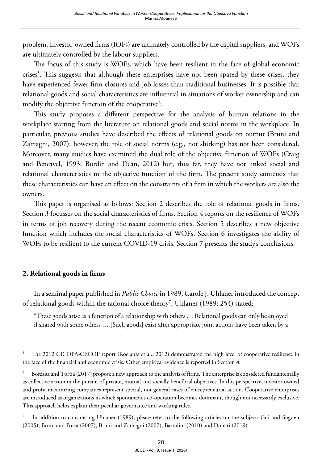problem. Investor-owned firms (IOFs) are ultimately controlled by the capital suppliers, and WOFs are ultimately controlled by the labour suppliers.

The focus of this study is WOFs, which have been resilient in the face of global economic crises<sup>5</sup>. This suggests that although these enterprises have not been spared by these crises, they have experienced fewer firm closures and job losses than traditional businesses. It is possible that relational goods and social characteristics are influential in situations of worker ownership and can modify the objective function of the cooperative<sup>6</sup>.

This study proposes a different perspective for the analysis of human relations in the workplace starting from the literature on relational goods and social norms in the workplace. In particular, previous studies have described the effects of relational goods on output (Bruni and Zamagni, 2007); however, the role of social norms (e.g., not shirking) has not been considered. Moreover, many studies have examined the dual role of the objective function of WOFs (Craig and Pencavel, 1993; Burdín and Dean, 2012) but, thus far, they have not linked social and relational characteristics to the objective function of the firm. The present study contends that these characteristics can have an effect on the constraints of a firm in which the workers are also the owners.

This paper is organised as follows: Section 2 describes the role of relational goods in firms. Section 3 focusses on the social characteristics of firms. Section 4 reports on the resilience of WOFs in terms of job recovery during the recent economic crisis. Section 5 describes a new objective function which includes the social characteristics of WOFs. Section 6 investigates the ability of WOFs to be resilient to the current COVID-19 crisis. Section 7 presents the study's conclusions.

### **2. Relational goods in firms**

In a seminal paper published in *Public Choice* in 1989, Carole J. Uhlaner introduced the concept of relational goods within the rational choice theory7 . Uhlaner (1989: 254) stated:

"These goods arise as a function of a relationship with others … Relational goods can only be enjoyed if shared with some others … [Such goods] exist after appropriate joint actions have been taken by a

<sup>&</sup>lt;sup>5</sup> The 2012 CICOPA-CECOP report (Roelants et al., 2012) demonstrated the high level of cooperative resilience in the face of the financial and economic crisis. Other empirical evidence is reported in Section 4.

<sup>6</sup> Borzaga and Tortia (2017) propose a new approach to the analysis of firms. The enterprise is considered fundamentally as collective action in the pursuit of private, mutual and socially beneficial objectives. In this perspective, investor owned and profit maximizing companies represent special, not general cases of entrepreneurial action. Cooperative enterprises are introduced as organizations in which spontaneous co-operation becomes dominant, though not necessarily exclusive. This approach helps explain their peculiar governance and working rules.

In addition to considering Uhlaner (1989), please refer to the following articles on the subject: Gui and Sugden (2005), Bruni and Porta (2007), Bruni and Zamagni (2007), Bartolini (2010) and Donati (2019).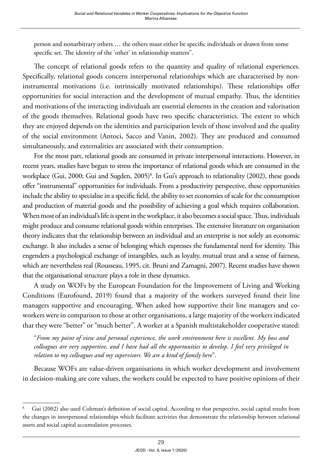person and nonarbitrary others … the others must either be specific individuals or drawn from some specific set. The identity of the 'other' in relationship matters".

The concept of relational goods refers to the quantity and quality of relational experiences. Specifically, relational goods concern interpersonal relationships which are characterised by noninstrumental motivations (i.e. intrinsically motivated relationships). These relationships offer opportunities for social interaction and the development of mutual empathy. Thus, the identities and motivations of the interacting individuals are essential elements in the creation and valorisation of the goods themselves. Relational goods have two specific characteristics. The extent to which they are enjoyed depends on the identities and participation levels of those involved and the quality of the social environment (Antoci, Sacco and Vanin, 2002). They are produced and consumed simultaneously, and externalities are associated with their consumption.

For the most part, relational goods are consumed in private interpersonal interactions. However, in recent years, studies have begun to stress the importance of relational goods which are consumed in the workplace (Gui, 2000; Gui and Sugden, 2005)<sup>8</sup>. In Gui's approach to relationality (2002), these goods offer "instrumental" opportunities for individuals. From a productivity perspective, these opportunities include the ability to specialise in a specific field, the ability to set economies of scale for the consumption and production of material goods and the possibility of achieving a goal which requires collaboration. When most of an individual's life is spent in the workplace, it also becomes a social space. Thus, individuals might produce and consume relational goods within enterprises. The extensive literature on organisation theory indicates that the relationship between an individual and an enterprise is not solely an economic exchange. It also includes a sense of belonging which expresses the fundamental need for identity. This engenders a psychological exchange of intangibles, such as loyalty, mutual trust and a sense of fairness, which are nevertheless real (Rousseau, 1995, cit. Bruni and Zamagni, 2007). Recent studies have shown that the organisational structure plays a role in these dynamics.

A study on WOFs by the European Foundation for the Improvement of Living and Working Conditions (Eurofound, 2019) found that a majority of the workers surveyed found their line managers supportive and encouraging. When asked how supportive their line managers and coworkers were in comparison to those at other organisations, a large majority of the workers indicated that they were "better" or "much better". A worker at a Spanish multistakeholder cooperative stated:

"*From my point of view and personal experience, the work environment here is excellent. My boss and colleagues are very supportive, and I have had all the opportunities to develop. I feel very privileged in relation to my colleagues and my supervisors. We are a kind of family here*".

Because WOFs are value-driven organisations in which worker development and involvement in decision-making are core values, the workers could be expected to have positive opinions of their

<sup>&</sup>lt;sup>8</sup> Gui (2002) also used Coleman's definition of social capital. According to that perspective, social capital results from the changes in interpersonal relationships which facilitate activities that demonstrate the relationship between relational assets and social capital accumulation processes.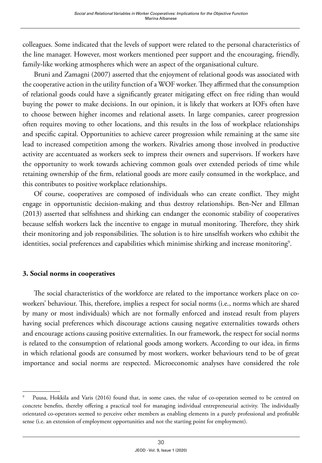colleagues. Some indicated that the levels of support were related to the personal characteristics of the line manager. However, most workers mentioned peer support and the encouraging, friendly, family-like working atmospheres which were an aspect of the organisational culture.

Bruni and Zamagni (2007) asserted that the enjoyment of relational goods was associated with the cooperative action in the utility function of a WOF worker. They affirmed that the consumption of relational goods could have a significantly greater mitigating effect on free riding than would buying the power to make decisions. In our opinion, it is likely that workers at IOFs often have to choose between higher incomes and relational assets. In large companies, career progression often requires moving to other locations, and this results in the loss of workplace relationships and specific capital. Opportunities to achieve career progression while remaining at the same site lead to increased competition among the workers. Rivalries among those involved in productive activity are accentuated as workers seek to impress their owners and supervisors. If workers have the opportunity to work towards achieving common goals over extended periods of time while retaining ownership of the firm, relational goods are more easily consumed in the workplace, and this contributes to positive workplace relationships.

Of course, cooperatives are composed of individuals who can create conflict. They might engage in opportunistic decision-making and thus destroy relationships. Ben-Ner and Ellman (2013) asserted that selfishness and shirking can endanger the economic stability of cooperatives because selfish workers lack the incentive to engage in mutual monitoring. Therefore, they shirk their monitoring and job responsibilities. The solution is to hire unselfish workers who exhibit the identities, social preferences and capabilities which minimise shirking and increase monitoring $^{\circ}$ .

#### **3. Social norms in cooperatives**

The social characteristics of the workforce are related to the importance workers place on coworkers' behaviour. This, therefore, implies a respect for social norms (i.e., norms which are shared by many or most individuals) which are not formally enforced and instead result from players having social preferences which discourage actions causing negative externalities towards others and encourage actions causing positive externalities. In our framework, the respect for social norms is related to the consumption of relational goods among workers. According to our idea, in firms in which relational goods are consumed by most workers, worker behaviours tend to be of great importance and social norms are respected. Microeconomic analyses have considered the role

Puusa, Hokkila and Varis (2016) found that, in some cases, the value of co-operation seemed to be centred on concrete benefits, thereby offering a practical tool for managing individual entrepreneurial activity. The individually orientated co-operators seemed to perceive other members as enabling elements in a purely professional and profitable sense (i.e. an extension of employment opportunities and not the starting point for employment).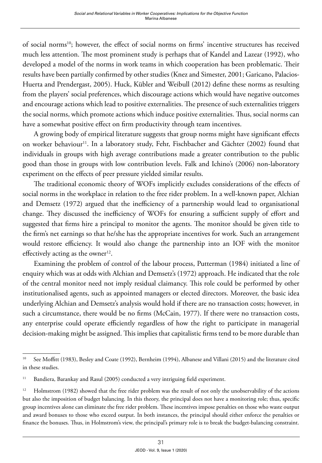of social norms<sup>10</sup>; however, the effect of social norms on firms' incentive structures has received much less attention. The most prominent study is perhaps that of Kandel and Lazear (1992), who developed a model of the norms in work teams in which cooperation has been problematic. Their results have been partially confirmed by other studies (Knez and Simester, 2001; Garicano, Palacios-Huerta and Prendergast, 2005). Huck, Kübler and Weibull (2012) define these norms as resulting from the players' social preferences, which discourage actions which would have negative outcomes and encourage actions which lead to positive externalities. The presence of such externalities triggers the social norms, which promote actions which induce positive externalities. Thus, social norms can have a somewhat positive effect on firm productivity through team incentives.

A growing body of empirical literature suggests that group norms might have significant effects on worker behaviour<sup>11</sup>. In a laboratory study, Fehr, Fischbacher and Gächter (2002) found that individuals in groups with high average contributions made a greater contribution to the public good than those in groups with low contribution levels. Falk and Ichino's (2006) non-laboratory experiment on the effects of peer pressure yielded similar results.

The traditional economic theory of WOFs implicitly excludes considerations of the effects of social norms in the workplace in relation to the free rider problem. In a well-known paper, Alchian and Demsetz (1972) argued that the inefficiency of a partnership would lead to organisational change. They discussed the inefficiency of WOFs for ensuring a sufficient supply of effort and suggested that firms hire a principal to monitor the agents. The monitor should be given title to the firm's net earnings so that he/she has the appropriate incentives for work. Such an arrangement would restore efficiency. It would also change the partnership into an IOF with the monitor effectively acting as the owner $12$ .

Examining the problem of control of the labour process, Putterman (1984) initiated a line of enquiry which was at odds with Alchian and Demsetz's (1972) approach. He indicated that the role of the central monitor need not imply residual claimancy. This role could be performed by other institutionalised agents, such as appointed managers or elected directors. Moreover, the basic idea underlying Alchian and Demsetz's analysis would hold if there are no transaction costs; however, in such a circumstance, there would be no firms (McCain, 1977). If there were no transaction costs, any enterprise could operate efficiently regardless of how the right to participate in managerial decision-making might be assigned. This implies that capitalistic firms tend to be more durable than

<sup>&</sup>lt;sup>10</sup> See Moffitt (1983), Besley and Coate (1992), Bernheim (1994), Albanese and Villani (2015) and the literature cited in these studies.

<sup>&</sup>lt;sup>11</sup> Bandiera, Barankay and Rasul (2005) conducted a very intriguing field experiment.

<sup>&</sup>lt;sup>12</sup> Holmstrom (1982) showed that the free rider problem was the result of not only the unobservability of the actions but also the imposition of budget balancing. In this theory, the principal does not have a monitoring role; thus, specific group incentives alone can eliminate the free rider problem. These incentives impose penalties on those who waste output and award bonuses to those who exceed output. In both instances, the principal should either enforce the penalties or finance the bonuses. Thus, in Holmstrom's view, the principal's primary role is to break the budget-balancing constraint.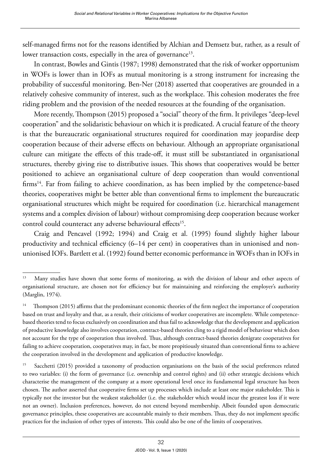self-managed firms not for the reasons identified by Alchian and Demsetz but, rather, as a result of lower transaction costs, especially in the area of governance<sup>13</sup>.

In contrast, Bowles and Gintis (1987; 1998) demonstrated that the risk of worker opportunism in WOFs is lower than in IOFs as mutual monitoring is a strong instrument for increasing the probability of successful monitoring. Ben-Ner (2018) asserted that cooperatives are grounded in a relatively cohesive community of interest, such as the workplace. This cohesion moderates the free riding problem and the provision of the needed resources at the founding of the organisation.

More recently, Thompson (2015) proposed a "social" theory of the firm. It privileges "deep-level cooperation" and the solidaristic behaviour on which it is predicated. A crucial feature of the theory is that the bureaucratic organisational structures required for coordination may jeopardise deep cooperation because of their adverse effects on behaviour. Although an appropriate organisational culture can mitigate the effects of this trade-off, it must still be substantiated in organisational structures, thereby giving rise to distributive issues. This shows that cooperatives would be better positioned to achieve an organisational culture of deep cooperation than would conventional firms<sup>14</sup>. Far from failing to achieve coordination, as has been implied by the competence-based theories, cooperatives might be better able than conventional firms to implement the bureaucratic organisational structures which might be required for coordination (i.e. hierarchical management systems and a complex division of labour) without compromising deep cooperation because worker control could counteract any adverse behavioural effects<sup>15</sup>.

Craig and Pencavel (1992; 1994) and Craig et al. (1995) found slightly higher labour productivity and technical efficiency (6–14 per cent) in cooperatives than in unionised and nonunionised IOFs. Bartlett et al. (1992) found better economic performance in WOFs than in IOFs in

<sup>&</sup>lt;sup>13</sup> Many studies have shown that some forms of monitoring, as with the division of labour and other aspects of organisational structure, are chosen not for efficiency but for maintaining and reinforcing the employer's authority (Marglin, 1974).

<sup>&</sup>lt;sup>14</sup> Thompson (2015) affirms that the predominant economic theories of the firm neglect the importance of cooperation based on trust and loyalty and that, as a result, their criticisms of worker cooperatives are incomplete. While competencebased theories tend to focus exclusively on coordination and thus fail to acknowledge that the development and application of productive knowledge also involves cooperation, contract-based theories cling to a rigid model of behaviour which does not account for the type of cooperation thus involved. Thus, although contract-based theories denigrate cooperatives for failing to achieve cooperation, cooperatives may, in fact, be more propitiously situated than conventional firms to achieve the cooperation involved in the development and application of productive knowledge.

<sup>&</sup>lt;sup>15</sup> Sacchetti (2015) provided a taxonomy of production organisations on the basis of the social preferences related to two variables: (i) the form of governance (i.e. ownership and control rights) and (ii) other strategic decisions which characterise the management of the company at a more operational level once its fundamental legal structure has been chosen. The author asserted that cooperative firms set up processes which include at least one major stakeholder. This is typically not the investor but the weakest stakeholder (i.e. the stakeholder which would incur the greatest loss if it were not an owner). Inclusion preferences, however, do not extend beyond membership. Albeit founded upon democratic governance principles, these cooperatives are accountable mainly to their members. Thus, they do not implement specific practices for the inclusion of other types of interests. This could also be one of the limits of cooperatives.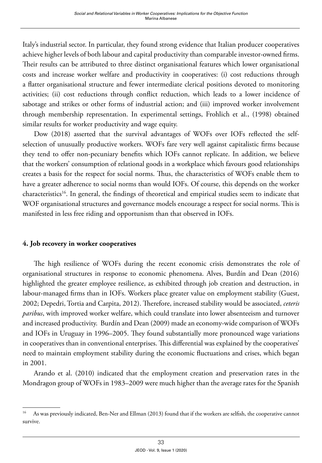Italy's industrial sector. In particular, they found strong evidence that Italian producer cooperatives achieve higher levels of both labour and capital productivity than comparable investor-owned firms. Their results can be attributed to three distinct organisational features which lower organisational costs and increase worker welfare and productivity in cooperatives: (i) cost reductions through a flatter organisational structure and fewer intermediate clerical positions devoted to monitoring activities; (ii) cost reductions through conflict reduction, which leads to a lower incidence of sabotage and strikes or other forms of industrial action; and (iii) improved worker involvement through membership representation. In experimental settings, Frohlich et al., (1998) obtained similar results for worker productivity and wage equity.

Dow (2018) asserted that the survival advantages of WOFs over IOFs reflected the selfselection of unusually productive workers. WOFs fare very well against capitalistic firms because they tend to offer non-pecuniary benefits which IOFs cannot replicate. In addition, we believe that the workers' consumption of relational goods in a workplace which favours good relationships creates a basis for the respect for social norms. Thus, the characteristics of WOFs enable them to have a greater adherence to social norms than would IOFs. Of course, this depends on the worker characteristics<sup>16</sup>. In general, the findings of theoretical and empirical studies seem to indicate that WOF organisational structures and governance models encourage a respect for social norms. This is manifested in less free riding and opportunism than that observed in IOFs.

#### **4. Job recovery in worker cooperatives**

The high resilience of WOFs during the recent economic crisis demonstrates the role of organisational structures in response to economic phenomena. Alves, Burdín and Dean (2016) highlighted the greater employee resilience, as exhibited through job creation and destruction, in labour-managed firms than in IOFs. Workers place greater value on employment stability (Guest, 2002; Depedri, Tortia and Carpita, 2012). Therefore, increased stability would be associated, *ceteris paribus*, with improved worker welfare, which could translate into lower absenteeism and turnover and increased productivity. Burdín and Dean (2009) made an economy-wide comparison of WOFs and IOFs in Uruguay in 1996–2005. They found substantially more pronounced wage variations in cooperatives than in conventional enterprises. This differential was explained by the cooperatives' need to maintain employment stability during the economic fluctuations and crises, which began in 2001.

Arando et al. (2010) indicated that the employment creation and preservation rates in the Mondragon group of WOFs in 1983–2009 were much higher than the average rates for the Spanish

<sup>&</sup>lt;sup>16</sup> As was previously indicated, Ben-Ner and Ellman (2013) found that if the workers are selfish, the cooperative cannot survive.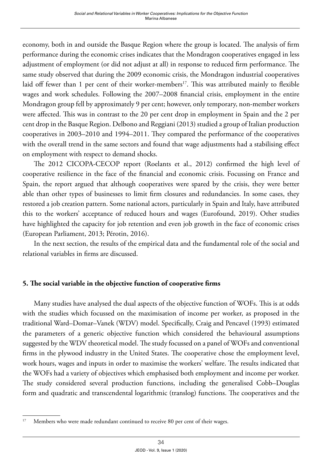economy, both in and outside the Basque Region where the group is located. The analysis of firm performance during the economic crises indicates that the Mondragon cooperatives engaged in less adjustment of employment (or did not adjust at all) in response to reduced firm performance. The same study observed that during the 2009 economic crisis, the Mondragon industrial cooperatives laid off fewer than 1 per cent of their worker-members<sup>17</sup>. This was attributed mainly to flexible wages and work schedules. Following the 2007–2008 financial crisis, employment in the entire Mondragon group fell by approximately 9 per cent; however, only temporary, non-member workers were affected. This was in contrast to the 20 per cent drop in employment in Spain and the 2 per cent drop in the Basque Region. Delbono and Reggiani (2013) studied a group of Italian production cooperatives in 2003–2010 and 1994–2011. They compared the performance of the cooperatives with the overall trend in the same sectors and found that wage adjustments had a stabilising effect on employment with respect to demand shocks.

The 2012 CICOPA-CECOP report (Roelants et al., 2012) confirmed the high level of cooperative resilience in the face of the financial and economic crisis. Focussing on France and Spain, the report argued that although cooperatives were spared by the crisis, they were better able than other types of businesses to limit firm closures and redundancies. In some cases, they restored a job creation pattern. Some national actors, particularly in Spain and Italy, have attributed this to the workers' acceptance of reduced hours and wages (Eurofound, 2019). Other studies have highlighted the capacity for job retention and even job growth in the face of economic crises (European Parliament, 2013; Pérotin, 2016).

In the next section, the results of the empirical data and the fundamental role of the social and relational variables in firms are discussed.

#### **5. The social variable in the objective function of cooperative firms**

Many studies have analysed the dual aspects of the objective function of WOFs. This is at odds with the studies which focussed on the maximisation of income per worker, as proposed in the traditional Ward–Domar–Vanek (WDV) model. Specifically, Craig and Pencavel (1993) estimated the parameters of a generic objective function which considered the behavioural assumptions suggested by the WDV theoretical model. The study focussed on a panel of WOFs and conventional firms in the plywood industry in the United States. The cooperative chose the employment level, work hours, wages and inputs in order to maximise the workers' welfare. The results indicated that the WOFs had a variety of objectives which emphasised both employment and income per worker. The study considered several production functions, including the generalised Cobb–Douglas form and quadratic and transcendental logarithmic (translog) functions. The cooperatives and the

<sup>&</sup>lt;sup>17</sup> Members who were made redundant continued to receive 80 per cent of their wages.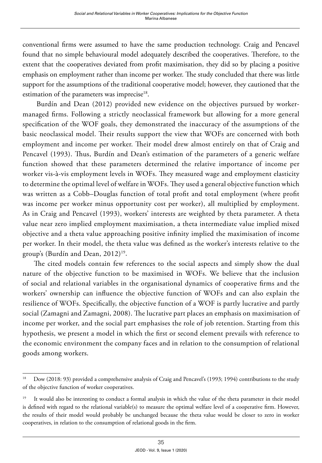conventional firms were assumed to have the same production technology. Craig and Pencavel found that no simple behavioural model adequately described the cooperatives. Therefore, to the extent that the cooperatives deviated from profit maximisation, they did so by placing a positive emphasis on employment rather than income per worker. The study concluded that there was little support for the assumptions of the traditional cooperative model; however, they cautioned that the estimation of the parameters was imprecise<sup>18</sup>.

 Burdín and Dean (2012) provided new evidence on the objectives pursued by workermanaged firms. Following a strictly neoclassical framework but allowing for a more general specification of the WOF goals, they demonstrated the inaccuracy of the assumptions of the basic neoclassical model. Their results support the view that WOFs are concerned with both employment and income per worker. Their model drew almost entirely on that of Craig and Pencavel (1993). Thus, Burdín and Dean's estimation of the parameters of a generic welfare function showed that these parameters determined the relative importance of income per worker vis-à-vis employment levels in WOFs. They measured wage and employment elasticity to determine the optimal level of welfare in WOFs. They used a general objective function which was written as a Cobb–Douglas function of total profit and total employment (where profit was income per worker minus opportunity cost per worker), all multiplied by employment. As in Craig and Pencavel (1993), workers' interests are weighted by theta parameter. A theta value near zero implied employment maximisation, a theta intermediate value implied mixed objective and a theta value approaching positive infinity implied the maximisation of income per worker. In their model, the theta value was defined as the worker's interests relative to the group's (Burdín and Dean, 2012)<sup>19</sup>.

The cited models contain few references to the social aspects and simply show the dual nature of the objective function to be maximised in WOFs. We believe that the inclusion of social and relational variables in the organisational dynamics of cooperative firms and the workers' ownership can influence the objective function of WOFs and can also explain the resilience of WOFs. Specifically, the objective function of a WOF is partly lucrative and partly social (Zamagni and Zamagni, 2008). The lucrative part places an emphasis on maximisation of income per worker, and the social part emphasises the role of job retention. Starting from this hypothesis, we present a model in which the first or second element prevails with reference to the economic environment the company faces and in relation to the consumption of relational goods among workers.

<sup>&</sup>lt;sup>18</sup> Dow (2018: 93) provided a comprehensive analysis of Craig and Pencavel's (1993; 1994) contributions to the study of the objective function of worker cooperatives.

<sup>&</sup>lt;sup>19</sup> It would also be interesting to conduct a formal analysis in which the value of the theta parameter in their model is defined with regard to the relational variable(s) to measure the optimal welfare level of a cooperative firm. However, the results of their model would probably be unchanged because the theta value would be closer to zero in worker cooperatives, in relation to the consumption of relational goods in the firm.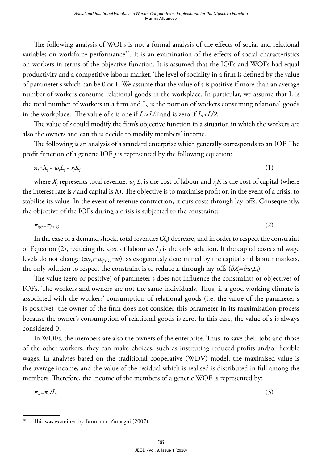The following analysis of WOFs is not a formal analysis of the effects of social and relational variables on workforce performance<sup>20</sup>. It is an examination of the effects of social characteristics on workers in terms of the objective function. It is assumed that the IOFs and WOFs had equal productivity and a competitive labour market. The level of sociality in a firm is defined by the value of parameter s which can be 0 or 1. We assume that the value of s is positive if more than an average number of workers consume relational goods in the workplace. In particular, we assume that L is the total number of workers in a firm and L*r* is the portion of workers consuming relational goods in the workplace. The value of s is one if  $L_r$ > $L/2$  and is zero if  $L_r$ < $L/2$ .

The value of *s* could modify the firm's objective function in a situation in which the workers are also the owners and can thus decide to modify members' income.

The following is an analysis of a standard enterprise which generally corresponds to an IOF. The profit function of a generic IOF *j* is represented by the following equation:

$$
\pi_j = X_j - w_j L_j - r_j K_j \tag{1}
$$

where  $X_j$  represents total revenue,  $w_j \, L_j$  is the cost of labour and  $r_j K$  is the cost of capital (where the interest rate is *r* and capital is *K*). The objective is to maximise profit or, in the event of a crisis, to stabilise its value. In the event of revenue contraction, it cuts costs through lay-offs. Consequently, the objective of the IOFs during a crisis is subjected to the constraint:

$$
\pi_{j(t)} = \pi_{j(t-1)} \tag{2}
$$

In the case of a demand shock, total revenues  $(X_j)$  decrease, and in order to respect the constraint of Equation (2), reducing the cost of labour  $\overline{w}_j$   $L_j$  is the only solution. If the capital costs and wage levels do not change  $(w_{i(t)}=w_{i(t-1)}=\overline{w})$ , as exogenously determined by the capital and labour markets, the only solution to respect the constraint is to reduce  $L$  through lay-offs  $(\delta X_{\!j}\!\!=\!\!\delta\overline{w}_{\!j}L_{\!j}).$ 

The value (zero or positive) of parameter s does not influence the constraints or objectives of IOFs. The workers and owners are not the same individuals. Thus, if a good working climate is associated with the workers' consumption of relational goods (i.e. the value of the parameter s is positive), the owner of the firm does not consider this parameter in its maximisation process because the owner's consumption of relational goods is zero. In this case, the value of s is always considered 0.

In WOFs, the members are also the owners of the enterprise. Thus, to save their jobs and those of the other workers, they can make choices, such as instituting reduced profits and/or flexible wages. In analyses based on the traditional cooperative (WDV) model, the maximised value is the average income, and the value of the residual which is realised is distributed in full among the members. Therefore, the income of the members of a generic WOF is represented by:

$$
\pi_{\rm si} = \pi_{\rm i}/L_{\rm i} \tag{3}
$$

<sup>&</sup>lt;sup>20</sup> This was examined by Bruni and Zamagni (2007).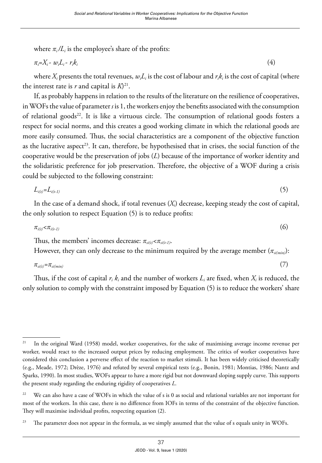where  $\pi_i/L_i$  is the employee's share of the profits:

$$
\pi_i = X_i - w_i L_i - r_i k_i \tag{4}
$$

where  $X_i$  presents the total revenues,  $w_i L_i$  is the cost of labour and  $r_i k_i$  is the cost of capital (where the interest rate is *r* and capital is *K*) 21.

If, as probably happens in relation to the results of the literature on the resilience of cooperatives, in WOFs the value of parameter *s* is 1, the workers enjoy the benefits associated with the consumption of relational goods<sup>22</sup>. It is like a virtuous circle. The consumption of relational goods fosters a respect for social norms, and this creates a good working climate in which the relational goods are more easily consumed. Thus, the social characteristics are a component of the objective function as the lucrative aspect<sup>23</sup>. It can, therefore, be hypothesised that in crises, the social function of the cooperative would be the preservation of jobs (*L*) because of the importance of worker identity and the solidaristic preference for job preservation. Therefore, the objective of a WOF during a crisis could be subjected to the following constraint:

$$
L_{i(t)} = L_{i(t-1)} \tag{5}
$$

In the case of a demand shock, if total revenues (*Xi*) decrease, keeping steady the cost of capital, the only solution to respect Equation (5) is to reduce profits:

$$
\pi_{i(t)} < \pi_{i(t-1)} \tag{6}
$$

Thus, the members' incomes decrease:  $\pi_{si(t)} < \pi_{si(t-1)}$ .

However, they can only decrease to the minimum required by the average member  $(\pi_{\text{sim}})$ :

$$
\pi_{\text{si}(t)} = \pi_{\text{si}(min)} \tag{7}
$$

Thus, if the cost of capital  $r_i$ ,  $k_i$  and the number of workers  $L_i$  are fixed, when  $X_i$  is reduced, the only solution to comply with the constraint imposed by Equation (5) is to reduce the workers' share

<sup>&</sup>lt;sup>21</sup> In the original Ward (1958) model, worker cooperatives, for the sake of maximising average income revenue per worker, would react to the increased output prices by reducing employment. The critics of worker cooperatives have considered this conclusion a perverse effect of the reaction to market stimuli. It has been widely criticised theoretically (e.g., Meade, 1972; Drèze, 1976) and refuted by several empirical tests (e.g., Bonin, 1981; Montias, 1986; Nantz and Sparks, 1990). In most studies, WOFs appear to have a more rigid but not downward sloping supply curve. This supports the present study regarding the enduring rigidity of cooperatives *L*.

 $22$  We can also have a case of WOFs in which the value of s is 0 as social and relational variables are not important for most of the workers. In this case, there is no difference from IOFs in terms of the constraint of the objective function. They will maximise individual profits, respecting equation (2).

<sup>&</sup>lt;sup>23</sup> The parameter does not appear in the formula, as we simply assumed that the value of s equals unity in WOFs.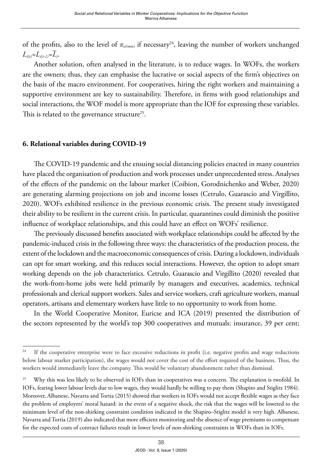of the profits, also to the level of *πsi(min)* if necessary24, leaving the number of workers unchanged  $L_{i(t)}=L_{i(t-1)}=\overline{L}_{i}$ .

Another solution, often analysed in the literature, is to reduce wages. In WOFs, the workers are the owners; thus, they can emphasise the lucrative or social aspects of the firm's objectives on the basis of the macro environment. For cooperatives, hiring the right workers and maintaining a supportive environment are key to sustainability. Therefore, in firms with good relationships and social interactions, the WOF model is more appropriate than the IOF for expressing these variables. This is related to the governance structure<sup>25</sup>.

#### **6. Relational variables during COVID-19**

The COVID-19 pandemic and the ensuing social distancing policies enacted in many countries have placed the organisation of production and work processes under unprecedented stress. Analyses of the effects of the pandemic on the labour market (Coibion, Gorodnichenko and Weber, 2020) are generating alarming projections on job and income losses (Cetrulo, Guarascio and Virgillito, 2020). WOFs exhibited resilience in the previous economic crisis. The present study investigated their ability to be resilient in the current crisis. In particular, quarantines could diminish the positive influence of workplace relationships, and this could have an effect on WOFs' resilience.

The previously discussed benefits associated with workplace relationships could be affected by the pandemic-induced crisis in the following three ways: the characteristics of the production process, the extent of the lockdown and the macroeconomic consequences of crisis. During a lockdown, individuals can opt for smart working, and this reduces social interactions. However, the option to adopt smart working depends on the job characteristics. Cetrulo, Guarascio and Virgillito (2020) revealed that the work-from-home jobs were held primarily by managers and executives, academics, technical professionals and clerical support workers. Sales and service workers, craft agriculture workers, manual operators, artisans and elementary workers have little to no opportunity to work from home.

In the World Cooperative Monitor, Euricse and ICA (2019) presented the distribution of the sectors represented by the world's top 300 cooperatives and mutuals: insurance, 39 per cent;

<sup>&</sup>lt;sup>24</sup> If the cooperative enterprise were to face excessive reductions in profit (i.e. negative profits and wage reductions below labour market participation), the wages would not cover the cost of the effort required of the business. Thus, the workers would immediately leave the company. This would be voluntary abandonment rather than dismissal.

<sup>&</sup>lt;sup>25</sup> Why this was less likely to be observed in IOFs than in cooperatives was a concern. The explanation is twofold. In IOFs, fearing lower labour levels due to low wages, they would hardly be willing to pay them (Shapiro and Stiglitz 1984). Moreover, Albanese, Navarra and Tortia (2015) showed that workers in IOFs would not accept flexible wages as they face the problem of employers' moral hazard: in the event of a negative shock, the risk that the wages will be lowered to the minimum level of the non-shirking constraint condition indicated in the Shapiro–Stiglitz model is very high. Albanese, Navarra and Tortia (2019) also indicated that more efficient monitoring and the absence of wage premiums to compensate for the expected costs of contract failures result in lower levels of non-shirking constraints in WOFs than in IOFs.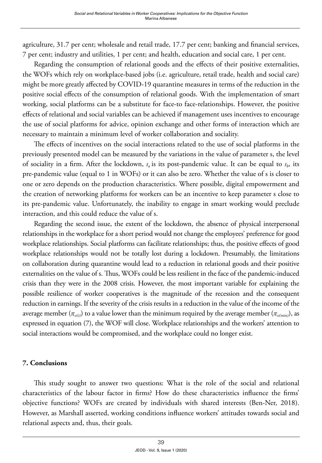agriculture, 31.7 per cent; wholesale and retail trade, 17.7 per cent; banking and financial services, 7 per cent; industry and utilities, 1 per cent; and health, education and social care, 1 per cent.

Regarding the consumption of relational goods and the effects of their positive externalities, the WOFs which rely on workplace-based jobs (i.e. agriculture, retail trade, health and social care) might be more greatly affected by COVID-19 quarantine measures in terms of the reduction in the positive social effects of the consumption of relational goods. With the implementation of smart working, social platforms can be a substitute for face-to face-relationships. However, the positive effects of relational and social variables can be achieved if management uses incentives to encourage the use of social platforms for advice, opinion exchange and other forms of interaction which are necessary to maintain a minimum level of worker collaboration and sociality.

The effects of incentives on the social interactions related to the use of social platforms in the previously presented model can be measured by the variations in the value of parameter s, the level of sociality in a firm. After the lockdown,  $s_a$  is its post-pandemic value. It can be equal to  $s_b$ , its pre-pandemic value (equal to 1 in WOFs) or it can also be zero. Whether the value of s is closer to one or zero depends on the production characteristics. Where possible, digital empowerment and the creation of networking platforms for workers can be an incentive to keep parameter s close to its pre-pandemic value. Unfortunately, the inability to engage in smart working would preclude interaction, and this could reduce the value of s.

Regarding the second issue, the extent of the lockdown, the absence of physical interpersonal relationships in the workplace for a short period would not change the employees' preference for good workplace relationships. Social platforms can facilitate relationships; thus, the positive effects of good workplace relationships would not be totally lost during a lockdown. Presumably, the limitations on collaboration during quarantine would lead to a reduction in relational goods and their positive externalities on the value of s. Thus, WOFs could be less resilient in the face of the pandemic-induced crisis than they were in the 2008 crisis. However, the most important variable for explaining the possible resilience of worker cooperatives is the magnitude of the recession and the consequent reduction in earnings. If the severity of the crisis results in a reduction in the value of the income of the average member  $(\pi_{si(t)})$  to a value lower than the minimum required by the average member  $(\pi_{si(min)})$ , as expressed in equation (7), the WOF will close. Workplace relationships and the workers' attention to social interactions would be compromised, and the workplace could no longer exist.

#### **7. Conclusions**

This study sought to answer two questions: What is the role of the social and relational characteristics of the labour factor in firms? How do these characteristics influence the firms' objective functions? WOFs are created by individuals with shared interests (Ben-Ner, 2018). However, as Marshall asserted, working conditions influence workers' attitudes towards social and relational aspects and, thus, their goals.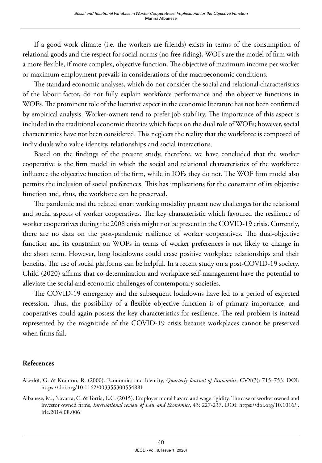If a good work climate (i.e. the workers are friends) exists in terms of the consumption of relational goods and the respect for social norms (no free riding), WOFs are the model of firm with a more flexible, if more complex, objective function. The objective of maximum income per worker or maximum employment prevails in considerations of the macroeconomic conditions.

The standard economic analyses, which do not consider the social and relational characteristics of the labour factor, do not fully explain workforce performance and the objective functions in WOFs. The prominent role of the lucrative aspect in the economic literature has not been confirmed by empirical analysis. Worker-owners tend to prefer job stability. The importance of this aspect is included in the traditional economic theories which focus on the dual role of WOFs; however, social characteristics have not been considered. This neglects the reality that the workforce is composed of individuals who value identity, relationships and social interactions.

Based on the findings of the present study, therefore, we have concluded that the worker cooperative is the firm model in which the social and relational characteristics of the workforce influence the objective function of the firm, while in IOFs they do not. The WOF firm model also permits the inclusion of social preferences. This has implications for the constraint of its objective function and, thus, the workforce can be preserved.

The pandemic and the related smart working modality present new challenges for the relational and social aspects of worker cooperatives. The key characteristic which favoured the resilience of worker cooperatives during the 2008 crisis might not be present in the COVID-19 crisis. Currently, there are no data on the post-pandemic resilience of worker cooperatives. The dual-objective function and its constraint on WOFs in terms of worker preferences is not likely to change in the short term. However, long lockdowns could erase positive workplace relationships and their benefits. The use of social platforms can be helpful. In a recent study on a post-COVID-19 society, Child (2020) affirms that co-determination and workplace self-management have the potential to alleviate the social and economic challenges of contemporary societies.

The COVID-19 emergency and the subsequent lockdowns have led to a period of expected recession. Thus, the possibility of a flexible objective function is of primary importance, and cooperatives could again possess the key characteristics for resilience. The real problem is instead represented by the magnitude of the COVID-19 crisis because workplaces cannot be preserved when firms fail.

#### **References**

Akerlof, G. & Kranton, R. (2000). Economics and Identity, *Quarterly Journal of Economics*, CVX(3): 715–753. DOI: <https://doi.org/10.1162/003355300554881>

Albanese, M., Navarra, C. & Tortia, E.C. (2015). Employer moral hazard and wage rigidity. The case of worker owned and investor owned firms, *International review of Law and Economics*, 43: 227-237. DOI: [https://doi.org/10.1016/j.](https://doi.org/10.1016/j.irle.2014.08.006) [irle.2014.08.006](https://doi.org/10.1016/j.irle.2014.08.006)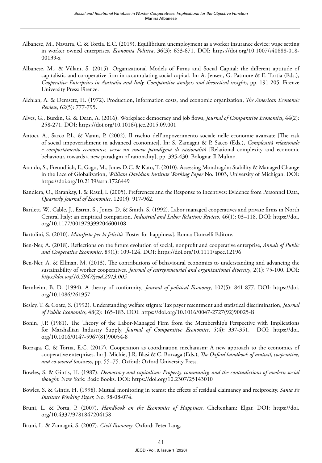- Albanese, M., Navarra, C. & Tortia, E.C. (2019). Equilibrium unemployment as a worker insurance device: wage setting in worker owned enterprises, *Economia Politica*, 36(3): 653-671. DOI: [https://doi.org/10.1007/s40888-018-](https://doi.org/10.1007/s40888-018-00139-z) [00139-z](https://doi.org/10.1007/s40888-018-00139-z)
- Albanese, M., & Villani, S. (2015). Organizational Models of Firms and Social Capital: the different aptitude of capitalistic and co-operative firm in accumulating social capital. In: A. Jensen, G. Patmore & E. Tortia (Eds.), *Cooperative Enterprises in Australia and Italy. Comparative analysis and theoretical insights*, pp. 191-205. Firenze University Press: Firenze.
- Alchian, A. & Demsetz, H. (1972). Production, information costs, and economic organization, *The American Economic Review*, 62(5): 777-795.
- Alves, G., Burdín, G. & Dean, A. (2016). Workplace democracy and job flows, *Journal of Comparative Economics***,** 44(2): 258-271. DOI:<https://doi.org/10.1016/j.jce.2015.09.001>
- Antoci, A., Sacco P.L. & Vanin, P. (2002). Il rischio dell'impoverimento sociale nelle economie avanzate [The risk of social impoverishment in advanced economies]. In: S. Zamagni & P. Sacco (Eds.), *Complessità relazionale e comportamento economico, verso un nuovo paradigma di razionalità* [Relational complexity and economic behaviour, towards a new paradigm of rationality], pp. 395-430. Bologna: Il Mulino.
- Arando, S., Freundlich, F., Gago, M., Jones D.C. & Kato, T. (2010). Assessing Mondragón: Stability & Managed Change in the Face of Globalization, *William Davidson Institute Working Paper* No. 1003, University of Michigan. DOI: <https://doi.org/10.2139/ssrn.1726449>
- Bandiera, O., Barankay, I. & Rasul, I. (2005). Preferences and the Response to Incentives: Evidence from Personnel Data, *Quarterly Journal of Economics*, 120(3): 917-962.
- Bartlett, W., Cable, J., Estrin, S., Jones, D. & Smith, S. (1992). Labor managed cooperatives and private firms in North Central Italy: an empirical comparison, *Industrial and Labor Relations Review*, 46(1): 03–118. DOI: [https://doi.](https://doi.org/10.1177/001979399204600108) [org/10.1177/001979399204600108](https://doi.org/10.1177/001979399204600108)
- Bartolini, S. (2010). *Manifesto per la felicità* [Poster for happiness]. Roma: Donzelli Editore.
- Ben-Ner, A. (2018). Reflections on the future evolution of social, nonprofit and cooperative enterprise, *Annals of Public and Cooperative Economics*, 89(1): 109-124. DOI:<https://doi.org/10.1111/apce.12196>
- Ben-Ner, A. & Ellman, M. (2013). The contributions of behavioural economics to understanding and advancing the sustainability of worker cooperatives, *Journal of entrepreneurial and organizational diversity*, 2(1): 75-100. DOI: *<https://doi.org/10.5947/jeod.2013.005>*
- Bernheim, B. D. (1994). A theory of conformity*, Journal of political Economy*, 102(5): 841-877. DOI: [https://doi.](https://doi.org/10.1086/261957) [org/10.1086/261957](https://doi.org/10.1086/261957)
- Besley, T. & Coate, S. (1992). Understanding welfare stigma: Tax payer resentment and statistical discrimination, *Journal of Public Economics*, 48(2): 165-183. DOI: [https://doi.org/10.1016/0047-2727\(92\)90025-B](https://doi.org/10.1016/0047-2727(92)90025-B)
- Bonin, J.P. (1981). The Theory of the Labor-Managed Firm from the Membership's Perspective with Implications for Marshallian Industry Supply, *Journal of Comparative Economics*, 5(4): 337-351. DOI: [https://doi.](https://doi.org/10.1016/0147-5967(81)90054-8) [org/10.1016/0147-5967\(81\)90054-8](https://doi.org/10.1016/0147-5967(81)90054-8)
- Borzaga, C. & Tortia, E.C. (2017). Cooperation as coordination mechanism: A new approach to the economics of cooperative enterprises. In: J. Michie, J.R. Blasi & C. Borzaga (Eds.), *The Oxford handbook of mutual, cooperative, and co-owned busi*ness, pp. 55–75. Oxford: Oxford University Press.
- Bowles, S. & Gintis, H. (1987). *Democracy and capitalism: Property, community, and the contradictions of modern social thought.* New York: Basic Books. DOI: <https://doi.org/10.2307/25143010>
- Bowles, S. & Gintis, H. (1998). Mutual monitoring in teams: the effects of residual claimancy and reciprocity, *Santa Fe Institute Working Paper,* No. 98-08-074.
- Bruni, L. & Porta, P. (2007). *Handbook on the Economics of Happiness*. Cheltenham: Elgar. DOI: [https://doi.](https://doi.org/10.4337/9781847204158) [org/10.4337/9781847204158](https://doi.org/10.4337/9781847204158)
- Bruni, L. & Zamagni, S. (2007). *Civil Economy*. Oxford: Peter Lang.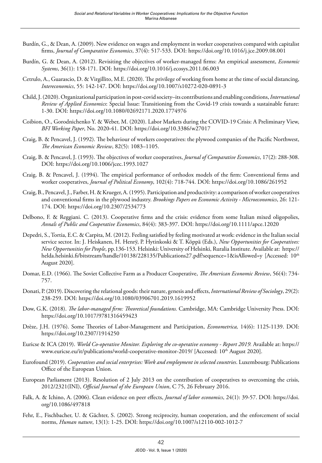- Burdín, G., & Dean, A. (2009). New evidence on wages and employment in worker cooperatives compared with capitalist firms, *Journal of Comparative Economics*, 37(4): 517-533. DOI:<https://doi.org/10.1016/j.jce.2009.08.001>
- Burdín, G. & Dean, A. (2012). Revisiting the objectives of worker-managed firms: An empirical assessment, *Economic Systems*, 36(1): 158-171. DOI:<https://doi.org/10.1016/j.ecosys.2011.06.003>
- Cetrulo, A., Guarascio, D. & Virgillito, M.E. (2020). The privilege of working from home at the time of social distancing, *Intereconomics*, 55: 142-147. DOI: <https://doi.org/10.1007/s10272-020-0891-3>
- Child, J. (2020). Organizational participation in post-covid society–its contributions and enabling conditions, *International Review of Applied Economics*: Special Issue: Transitioning from the Covid-19 crisis towards a sustainable future: 1-30. DOI: <https://doi.org/10.1080/02692171.2020.1774976>
- Coibion, O., Gorodnichenko Y. & Weber, M. (2020). Labor Markets during the COVID-19 Crisis: A Preliminary View, *BFI Working Paper*, No. 2020-41. DOI: <https://doi.org/10.3386/w27017>
- Craig, B. & Pencavel, J. (1992). The behaviour of workers cooperatives: the plywood companies of the Pacific Northwest, *The American Economic Review*, 82(5): 1083–1105.
- Craig, B. & Pencavel, J. (1993). The objectives of worker cooperatives, *Journal of Comparative Economics*, 17(2): 288-308. DOI:<https://doi.org/10.1006/jcec.1993.1027>
- Craig, B. & Pencavel, J. (1994). The empirical performance of orthodox models of the firm: Conventional firms and worker cooperatives, *Journal of Political Economy*, 102(4): 718-744. DOI:<https://doi.org/10.1086/261952>
- Craig, B., Pencavel, J., Farber, H. & Krueger, A. (1995). Participation and productivity: a comparison of worker cooperatives and conventional firms in the plywood industry. *Brookings Papers on Economic Activity - Microeconomics*, 26: 121- 174. DOI:<https://doi.org/10.2307/2534773>
- Delbono, F. & Reggiani. C. (2013). Cooperative firms and the crisis: evidence from some Italian mixed oligopolies, *Annals of Public and Cooperative Economics*, 84(4): 383-397. DOI:<https://doi.org/10.1111/apce.12020>
- Depedri, S., Tortia, E.C. & Carpita, M. (2012). Feeling satisfied by feeling motivated at work: evidence in the Italian social service sector. In: J. Heiskanen, H. Henrÿ, P. Hytinkoski & T. Köppä (Eds.), *New Opportunities for Cooperatives: New Opportunities for People*, pp.136-153. Helsinki: University of Helsinki, Ruralia Institute. Available at: [https://](https://helda.helsinki.fi/bitstream/handle/10138/228135/Publications27.pdf?sequence=1&isAllowed=y) [helda.helsinki.fi/bitstream/handle/10138/228135/Publications27.pdf?sequence=1&isAllowed=y](https://helda.helsinki.fi/bitstream/handle/10138/228135/Publications27.pdf?sequence=1&isAllowed=y) [Accessed: 10<sup>th</sup> August 2020].
- Domar, E.D. (1966). The Soviet Collective Farm as a Producer Cooperative, *The American Economic Review*, 56(4): 734- 757.
- Donati, P. (2019). Discovering the relational goods: their nature, genesis and effects, *International Review of Sociology*, 29(2): 238-259. DOI:<https://doi.org/10.1080/03906701.2019.1619952>
- Dow, G.K. (2018). *The labor-managed firm: Theoretical foundations.* Cambridge, MA: Cambridge University Press. DOI: <https://doi.org/10.1017/9781316459423>
- Drèze, J.H. (1976). Some Theories of Labor-Management and Participation, *Econometrica,* 14(6): 1125-1139. DOI: <https://doi.org/10.2307/1914250>
- Euricse & ICA (2019). *World Co-operative Monitor. Exploring the co-operative economy Report 2019*. Available at: [https://](https://www.euricse.eu/it/publications/world-cooperative-monitor-2019/) [www.euricse.eu/it/publications/world-cooperative-monitor-2019/](https://www.euricse.eu/it/publications/world-cooperative-monitor-2019/) [Accessed: 10<sup>th</sup> August 2020].
- Eurofound (2019). *Cooperatives and social enterprises: Work and employment in selected countries*. Luxembourg: Publications Office of the European Union.
- European Parliament (2013). Resolution of 2 July 2013 on the contribution of cooperatives to overcoming the crisis, 2012/2321(INI), *Official Journal of the European Union*, C 75, 26 February 2016.
- Falk, A. & Ichino, A. (2006). Clean evidence on peer effects, *Journal of labor economics*, 24(1): 39-57. DOI: [https://doi.](https://doi.org/10.1086/497818) [org/10.1086/497818](https://doi.org/10.1086/497818)
- Fehr, E., Fischbacher, U. & Gächter, S. (2002). Strong reciprocity, human cooperation, and the enforcement of social norms, *Human nature*, 13(1): 1-25. DOI: <https://doi.org/10.1007/s12110-002-1012-7>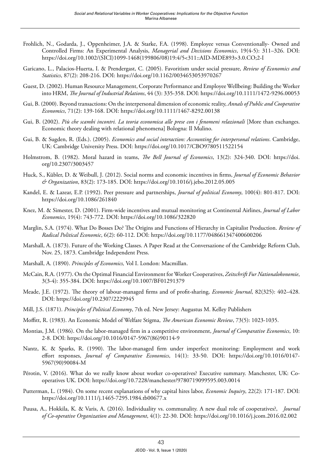- Frohlich, N., Godarda, J., Oppenheimer, J.A. & Starke, F.A. (1998). Employee versus Conventionally- Owned and Controlled Firms: An Experimental Analysis, *Managerial and Decisions Economics*, 19(4-5): 311–326. DOI: [https://doi.org/10.1002/\(SICI\)1099-1468\(199806/08\)19:4/5<311::AID-MDE893>3.0.CO;2-I](https://doi.org/10.1002/(SICI)1099-1468(199806/08)19:4/5%3c311::AID-MDE893%3e3.0.CO;2-I)
- Garicano, L., Palacios-Huerta, I. & Prendergast, C. (2005). Favoritism under social pressure, *Review of Economics and Statistics*, 87(2): 208-216. DOI: <https://doi.org/10.1162/0034653053970267>
- Guest, D. (2002). Human Resource Management, Corporate Performance and Employee Wellbeing: Building the Worker into HRM, *The Journal of Industrial Relations*, 44 (3): 335-358. DOI:<https://doi.org/10.1111/1472-9296.00053>
- Gui, B. (2000). Beyond transactions: On the interpersonal dimension of economic reality, *Annals of Public and Cooperative Economics*, 71(2): 139-168. DOI: <https://doi.org/10.1111/1467-8292.00138>
- Gui, B. (2002). *Più che scambi incontri. La teoria economica alle prese con i fenomeni relazionali* [More than exchanges. Economic theory dealing with relational phenomena] Bologna: Il Mulino.
- Gui, B. & Sugden, R. (Eds.). (2005). *Economics and social interaction: Accounting for interpersonal relations*. Cambridge, UK: Cambridge University Press. DOI: <https://doi.org/10.1017/CBO9780511522154>
- Holmstrom, B. (1982). Moral hazard in teams, *The Bell Journal of Economics*, 13(2): 324-340. DOI: [https://doi.](https://doi.org/10.2307/3003457) [org/10.2307/3003457](https://doi.org/10.2307/3003457)
- Huck, S., Kübler, D. & Weibull, J. (2012). Social norms and economic incentives in firms, *Journal of Economic Behavior & Organization*, 83(2): 173-185. DOI: <https://doi.org/10.1016/j.jebo.2012.05.005>
- Kandel, E. & Lazear, E.P. (1992). Peer pressure and partnerships, *Journal of political Economy*, 100(4): 801-817. DOI: <https://doi.org/10.1086/261840>
- Knez, M. & Simester, D. (2001). Firm-wide incentives and mutual monitoring at Continental Airlines, *Journal of Labor Economics*, 19(4): 743-772. DOI: <https://doi.org/10.1086/322820>
- Marglin, S.A. (1974). What Do Bosses Do? The Origins and Functions of Hierarchy in Capitalist Production. *Review of Radical Political Economic*, 6(2): 60-112. DOI:<https://doi.org/10.1177/048661347400600206>
- Marshall, A. (1873). Future of the Working Classes. A Paper Read at the Conversazione of the Cambridge Reform Club, Nov. 25, 1873. Cambridge Independent Press.
- Marshall, A. (1890). *Principles of Economics,* Vol I. London: Macmillan.
- McCain, R.A. (1977). On the Optimal Financial Environment for Worker Cooperatives, *Zeitschrift Fur Nationalokonomie*, 3(3-4): 355-384. DOI: <https://doi.org/10.1007/BF01291379>
- Meade, J.E. (1972). The theory of labour-managed firms and of profit-sharing, *Economic Journal*, 82(325): 402–428. DOI: <https://doi.org/10.2307/2229945>
- Mill, J.S. (1871). *Principles of Political Economy*, 7th ed. New Jersey: Augustus M. Kelley Publishers
- Moffitt, R. (1983). An Economic Model of Welfare Stigma, *The American Economic Review*, 73(5): 1023-1035.
- Montias, J.M. (1986). On the labor-managed firm in a competitive environment, *Journal of Comparative Economics*, 10: 2-8. DOI: [https://doi.org/10.1016/0147-5967\(86\)90114-9](https://doi.org/10.1016/0147-5967(86)90114-9)
- Nantz, K. & Sparks, R. (1990). The labor-managed firm under imperfect monitoring: Employment and work effort responses, *Journal of Comparative Economics*, 14(1): 33-50. DOI: [https://doi.org/10.1016/0147-](https://doi.org/10.1016/0147-5967(90)90084-M) [5967\(90\)90084-M](https://doi.org/10.1016/0147-5967(90)90084-M)
- Pérotin, V. (2016). What do we really know about worker co-operatives? Executive summary. Manchester, UK: Cooperatives UK. DOI: <https://doi.org/10.7228/manchester/9780719099595.003.0014>
- Putterman, L. (1984). On some recent explanations of why capital hires labor, *Economic Inquiry*, 22(2): 171-187. DOI: <https://doi.org/10.1111/j.1465-7295.1984.tb00677.x>
- Puusa, A., Hokkila, K. & Varis, A. (2016). Individuality vs. communality. A new dual role of cooperatives?, *Journal of Co-operative Organization and Management*, 4(1): 22-30. DOI:<https://doi.org/10.1016/j.jcom.2016.02.002>